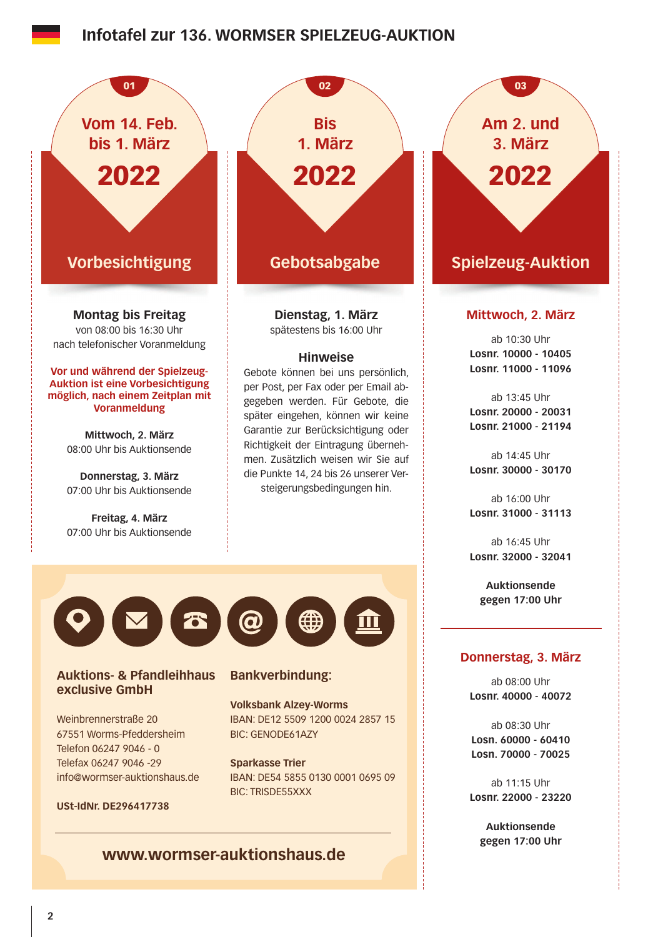## **Infotafel zur 136. WORMSER SPIELZEUG-AUKTION**



**www.wormser-auktionshaus.de**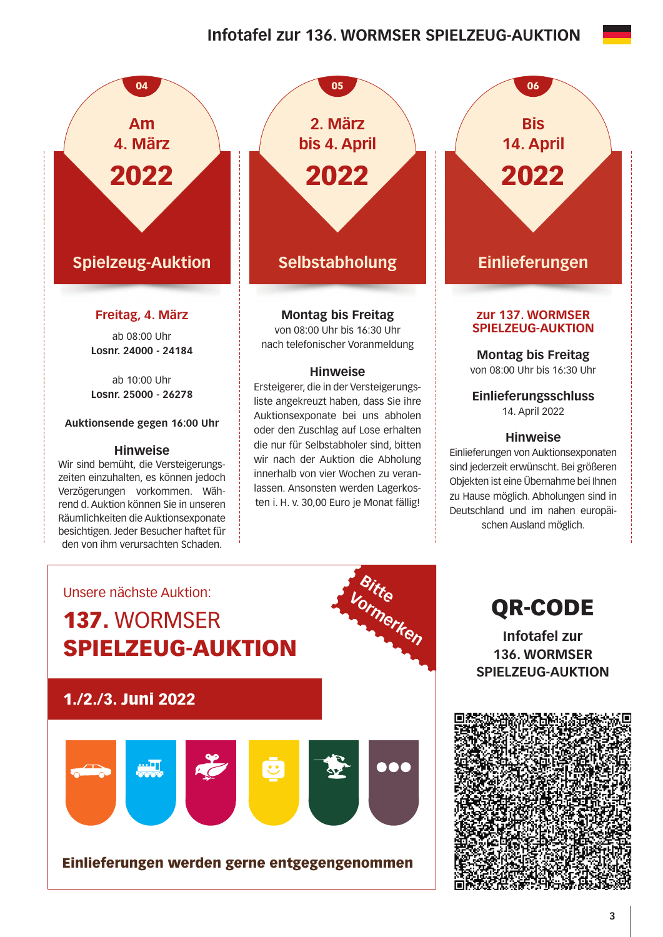# **Infotafel zur 136. WORMSER SPIELZEUG-AUKTION**



**Selbstabholung 2. März bis 4. April** 2022

05

## **Montag bis Freitag**

von 08:00 Uhr bis 16:30 Uhr nach telefonischer Voranmeldung

### **Hinweise**

Ersteigerer, die in der Versteigerungsliste angekreuzt haben, dass Sie ihre Auktionsexponate bei uns abholen oder den Zuschlag auf Lose erhalten die nur für Selbstabholer sind, bitten wir nach der Auktion die Abholung innerhalb von vier Wochen zu veranlassen. Ansonsten werden Lagerkosten i. H. v. 30,00 Euro je Monat fällig!



# **Einlieferungen**

### **zur 137. WORMSER SPIELZEUG-AUKTION**

**Montag bis Freitag**  von 08:00 Uhr bis 16:30 Uhr

**Einlieferungsschluss**  14. April 2022

### **Hinweise**

Einlieferungen von Auktionsexponaten sind jederzeit erwünscht. Bei größeren Objekten ist eine Übernahme bei Ihnen zu Hause möglich. Abholungen sind in Deutschland und im nahen europäischen Ausland möglich.



QR-CODE

**Infotafel zur 136. WORMSER SPIELZEUG-AUKTION**

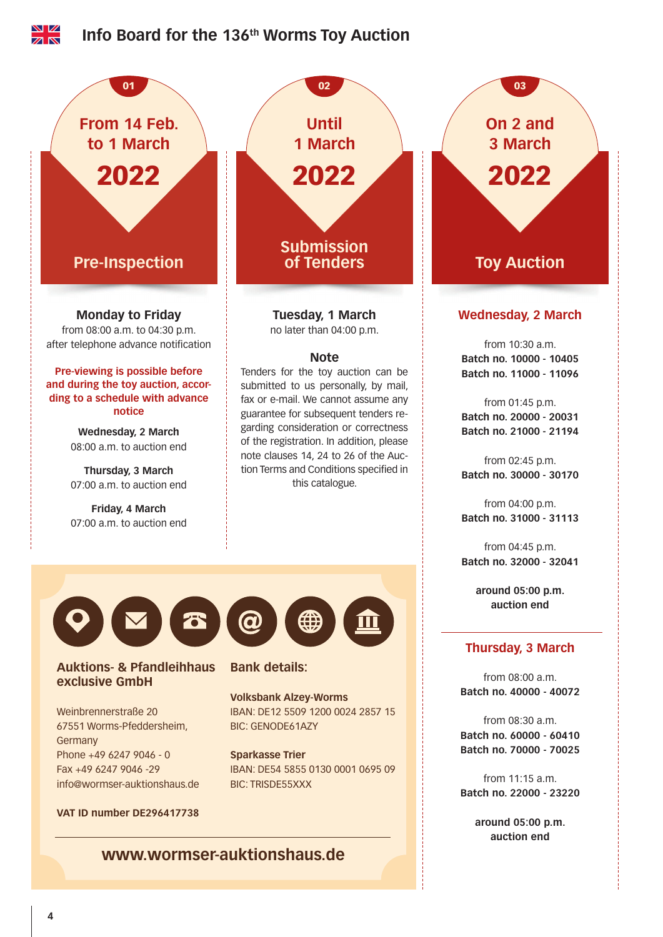